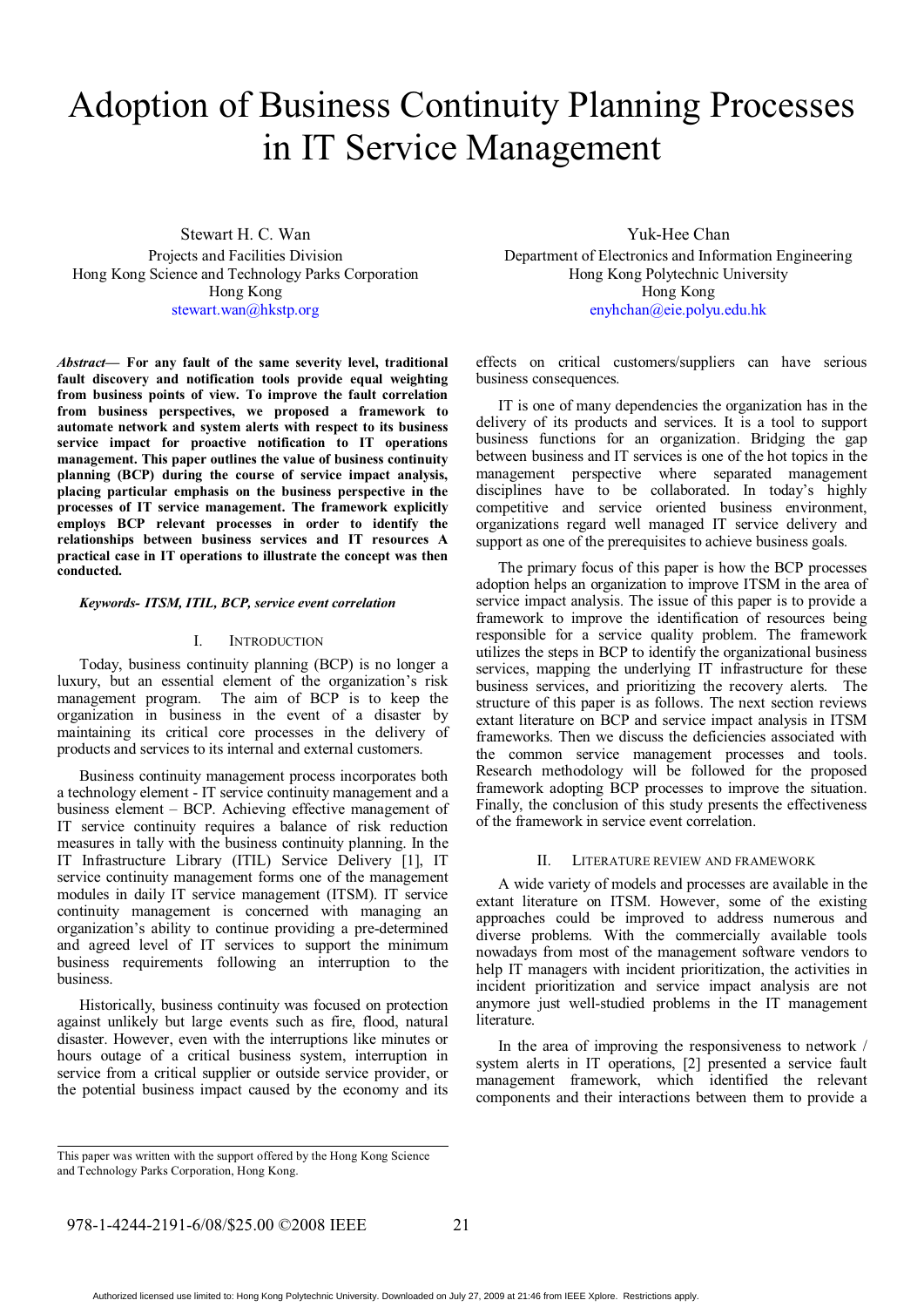# Adoption of Business Continuity Planning Processes in IT Service Management

Stewart H. C. Wan Projects and Facilities Division Hong Kong Science and Technology Parks Corporation Hong Kong stewart.wan@hkstp.org

*Abstract***— For any fault of the same severity level, traditional fault discovery and notification tools provide equal weighting from business points of view. To improve the fault correlation from business perspectives, we proposed a framework to automate network and system alerts with respect to its business service impact for proactive notification to IT operations management. This paper outlines the value of business continuity planning (BCP) during the course of service impact analysis, placing particular emphasis on the business perspective in the processes of IT service management. The framework explicitly employs BCP relevant processes in order to identify the relationships between business services and IT resources A practical case in IT operations to illustrate the concept was then conducted.** 

#### *Keywords- ITSM, ITIL, BCP, service event correlation*

#### I. INTRODUCTION

Today, business continuity planning (BCP) is no longer a luxury, but an essential element of the organization's risk management program. The aim of BCP is to keep the organization in business in the event of a disaster by maintaining its critical core processes in the delivery of products and services to its internal and external customers.

Business continuity management process incorporates both a technology element - IT service continuity management and a business element – BCP. Achieving effective management of IT service continuity requires a balance of risk reduction measures in tally with the business continuity planning. In the IT Infrastructure Library (ITIL) Service Delivery [1], IT service continuity management forms one of the management modules in daily IT service management (ITSM). IT service continuity management is concerned with managing an organization's ability to continue providing a pre-determined and agreed level of IT services to support the minimum business requirements following an interruption to the business.

Historically, business continuity was focused on protection against unlikely but large events such as fire, flood, natural disaster. However, even with the interruptions like minutes or hours outage of a critical business system, interruption in service from a critical supplier or outside service provider, or the potential business impact caused by the economy and its

Yuk-Hee Chan Department of Electronics and Information Engineering Hong Kong Polytechnic University Hong Kong enyhchan@eie.polyu.edu.hk

effects on critical customers/suppliers can have serious business consequences.

IT is one of many dependencies the organization has in the delivery of its products and services. It is a tool to support business functions for an organization. Bridging the gap between business and IT services is one of the hot topics in the management perspective where separated management disciplines have to be collaborated. In today's highly competitive and service oriented business environment, organizations regard well managed IT service delivery and support as one of the prerequisites to achieve business goals.

The primary focus of this paper is how the BCP processes adoption helps an organization to improve ITSM in the area of service impact analysis. The issue of this paper is to provide a framework to improve the identification of resources being responsible for a service quality problem. The framework utilizes the steps in BCP to identify the organizational business services, mapping the underlying IT infrastructure for these business services, and prioritizing the recovery alerts. The structure of this paper is as follows. The next section reviews extant literature on BCP and service impact analysis in ITSM frameworks. Then we discuss the deficiencies associated with the common service management processes and tools. Research methodology will be followed for the proposed framework adopting BCP processes to improve the situation. Finally, the conclusion of this study presents the effectiveness of the framework in service event correlation.

# II. LITERATURE REVIEW AND FRAMEWORK

A wide variety of models and processes are available in the extant literature on ITSM. However, some of the existing approaches could be improved to address numerous and diverse problems. With the commercially available tools nowadays from most of the management software vendors to help IT managers with incident prioritization, the activities in incident prioritization and service impact analysis are not anymore just well-studied problems in the IT management literature.

In the area of improving the responsiveness to network / system alerts in IT operations, [2] presented a service fault management framework, which identified the relevant components and their interactions between them to provide a

This paper was written with the support offered by the Hong Kong Science and Technology Parks Corporation, Hong Kong.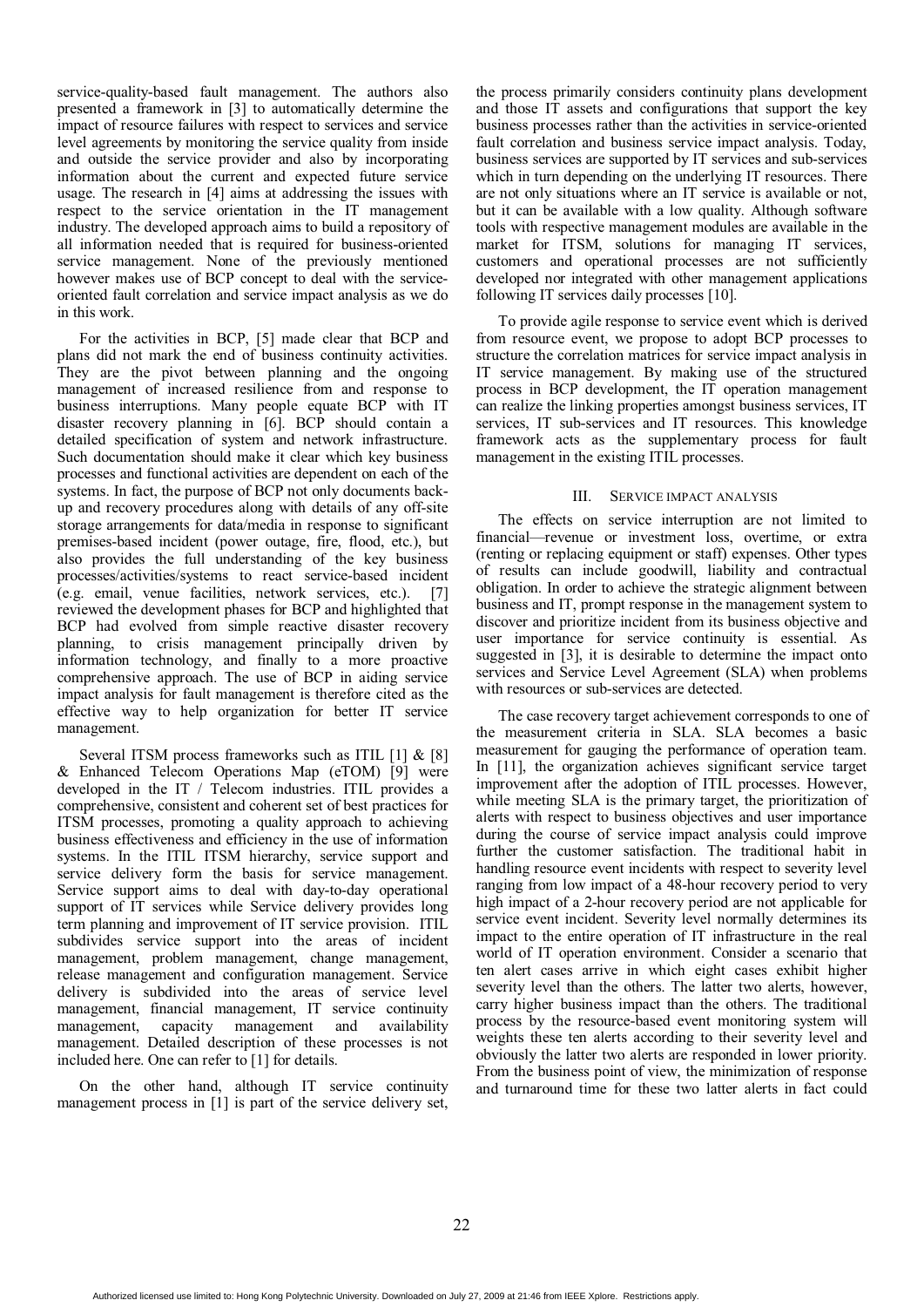service-quality-based fault management. The authors also presented a framework in [3] to automatically determine the impact of resource failures with respect to services and service level agreements by monitoring the service quality from inside and outside the service provider and also by incorporating information about the current and expected future service usage. The research in [4] aims at addressing the issues with respect to the service orientation in the IT management industry. The developed approach aims to build a repository of all information needed that is required for business-oriented service management. None of the previously mentioned however makes use of BCP concept to deal with the serviceoriented fault correlation and service impact analysis as we do in this work.

For the activities in BCP, [5] made clear that BCP and plans did not mark the end of business continuity activities. They are the pivot between planning and the ongoing management of increased resilience from and response to business interruptions. Many people equate BCP with IT disaster recovery planning in [6]. BCP should contain a detailed specification of system and network infrastructure. Such documentation should make it clear which key business processes and functional activities are dependent on each of the systems. In fact, the purpose of BCP not only documents backup and recovery procedures along with details of any off-site storage arrangements for data/media in response to significant premises-based incident (power outage, fire, flood, etc.), but also provides the full understanding of the key business processes/activities/systems to react service-based incident (e.g. email, venue facilities, network services, etc.). [7] reviewed the development phases for BCP and highlighted that BCP had evolved from simple reactive disaster recovery planning, to crisis management principally driven by information technology, and finally to a more proactive comprehensive approach. The use of BCP in aiding service impact analysis for fault management is therefore cited as the effective way to help organization for better IT service management.

Several ITSM process frameworks such as ITIL [1] & [8] & Enhanced Telecom Operations Map (eTOM) [9] were developed in the IT / Telecom industries. ITIL provides a comprehensive, consistent and coherent set of best practices for ITSM processes, promoting a quality approach to achieving business effectiveness and efficiency in the use of information systems. In the ITIL ITSM hierarchy, service support and service delivery form the basis for service management. Service support aims to deal with day-to-day operational support of IT services while Service delivery provides long term planning and improvement of IT service provision. ITIL subdivides service support into the areas of incident management, problem management, change management, release management and configuration management. Service delivery is subdivided into the areas of service level management, financial management, IT service continuity management, capacity management and availability management. Detailed description of these processes is not included here. One can refer to [1] for details.

On the other hand, although IT service continuity management process in [1] is part of the service delivery set,

the process primarily considers continuity plans development and those IT assets and configurations that support the key business processes rather than the activities in service-oriented fault correlation and business service impact analysis. Today, business services are supported by IT services and sub-services which in turn depending on the underlying IT resources. There are not only situations where an IT service is available or not, but it can be available with a low quality. Although software tools with respective management modules are available in the market for ITSM, solutions for managing IT services, customers and operational processes are not sufficiently developed nor integrated with other management applications following IT services daily processes [10].

To provide agile response to service event which is derived from resource event, we propose to adopt BCP processes to structure the correlation matrices for service impact analysis in IT service management. By making use of the structured process in BCP development, the IT operation management can realize the linking properties amongst business services, IT services, IT sub-services and IT resources. This knowledge framework acts as the supplementary process for fault management in the existing ITIL processes.

# III. SERVICE IMPACT ANALYSIS

The effects on service interruption are not limited to financial—revenue or investment loss, overtime, or extra (renting or replacing equipment or staff) expenses. Other types of results can include goodwill, liability and contractual obligation. In order to achieve the strategic alignment between business and IT, prompt response in the management system to discover and prioritize incident from its business objective and user importance for service continuity is essential. As suggested in [3], it is desirable to determine the impact onto services and Service Level Agreement (SLA) when problems with resources or sub-services are detected.

The case recovery target achievement corresponds to one of the measurement criteria in SLA. SLA becomes a basic measurement for gauging the performance of operation team. In [11], the organization achieves significant service target improvement after the adoption of ITIL processes. However, while meeting SLA is the primary target, the prioritization of alerts with respect to business objectives and user importance during the course of service impact analysis could improve further the customer satisfaction. The traditional habit in handling resource event incidents with respect to severity level ranging from low impact of a 48-hour recovery period to very high impact of a 2-hour recovery period are not applicable for service event incident. Severity level normally determines its impact to the entire operation of IT infrastructure in the real world of IT operation environment. Consider a scenario that ten alert cases arrive in which eight cases exhibit higher severity level than the others. The latter two alerts, however, carry higher business impact than the others. The traditional process by the resource-based event monitoring system will weights these ten alerts according to their severity level and obviously the latter two alerts are responded in lower priority. From the business point of view, the minimization of response and turnaround time for these two latter alerts in fact could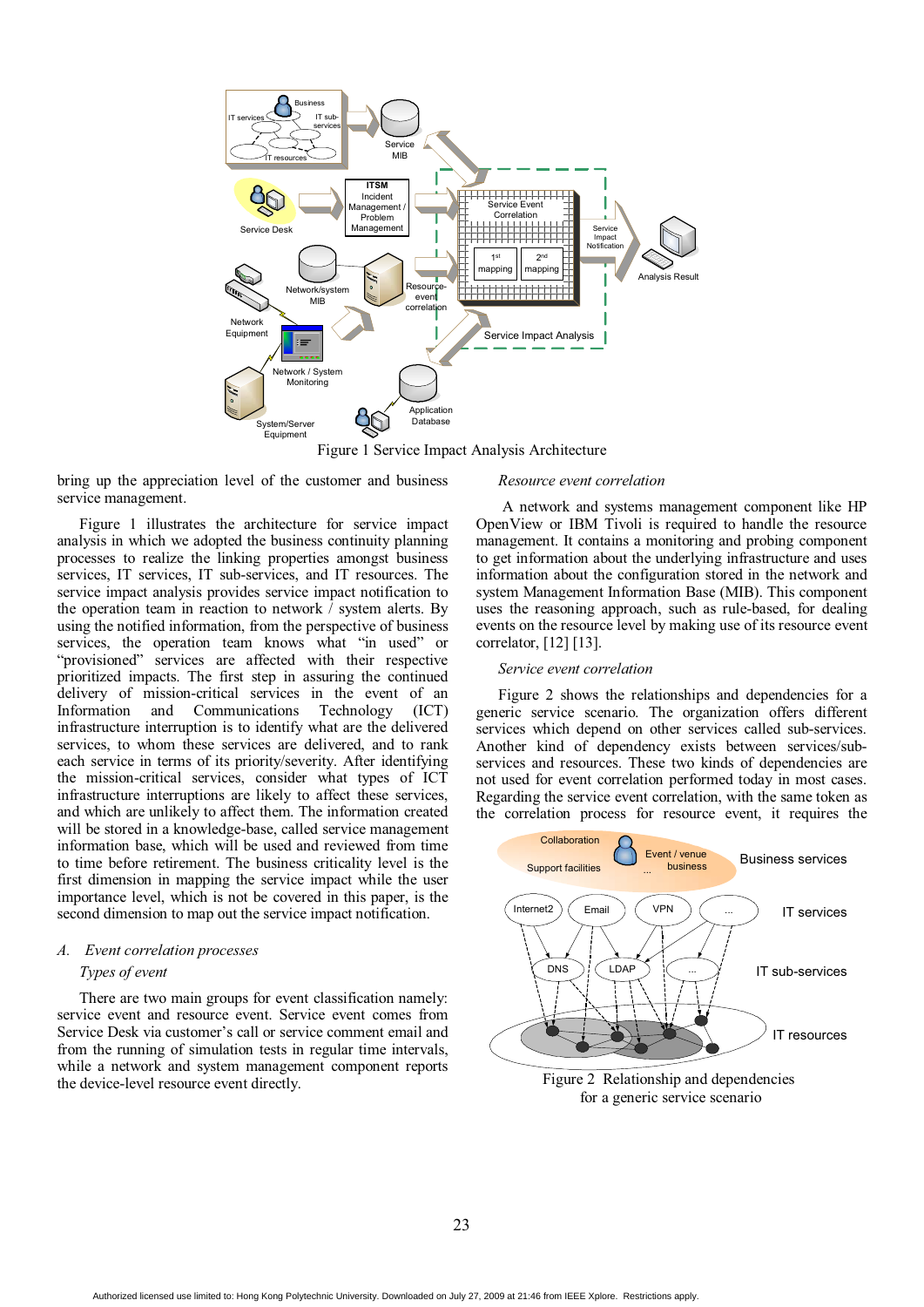

Figure 1 Service Impact Analysis Architecture

bring up the appreciation level of the customer and business service management.

Figure 1 illustrates the architecture for service impact analysis in which we adopted the business continuity planning processes to realize the linking properties amongst business services, IT services, IT sub-services, and IT resources. The service impact analysis provides service impact notification to the operation team in reaction to network / system alerts. By using the notified information, from the perspective of business services, the operation team knows what "in used" or "provisioned" services are affected with their respective prioritized impacts. The first step in assuring the continued delivery of mission-critical services in the event of an Information and Communications Technology (ICT) Information and Communications Technology (ICT) infrastructure interruption is to identify what are the delivered services, to whom these services are delivered, and to rank each service in terms of its priority/severity. After identifying the mission-critical services, consider what types of ICT infrastructure interruptions are likely to affect these services, and which are unlikely to affect them. The information created will be stored in a knowledge-base, called service management information base, which will be used and reviewed from time to time before retirement. The business criticality level is the first dimension in mapping the service impact while the user importance level, which is not be covered in this paper, is the second dimension to map out the service impact notification.

# *A. Event correlation processes Types of event*

There are two main groups for event classification namely: service event and resource event. Service event comes from Service Desk via customer's call or service comment email and from the running of simulation tests in regular time intervals, while a network and system management component reports the device-level resource event directly.

#### *Resource event correlation*

A network and systems management component like HP OpenView or IBM Tivoli is required to handle the resource management. It contains a monitoring and probing component to get information about the underlying infrastructure and uses information about the configuration stored in the network and system Management Information Base (MIB). This component uses the reasoning approach, such as rule-based, for dealing events on the resource level by making use of its resource event correlator, [12] [13].

# *Service event correlation*

Figure 2 shows the relationships and dependencies for a generic service scenario. The organization offers different services which depend on other services called sub-services. Another kind of dependency exists between services/subservices and resources. These two kinds of dependencies are not used for event correlation performed today in most cases. Regarding the service event correlation, with the same token as the correlation process for resource event, it requires the

![](_page_2_Figure_10.jpeg)

for a generic service scenario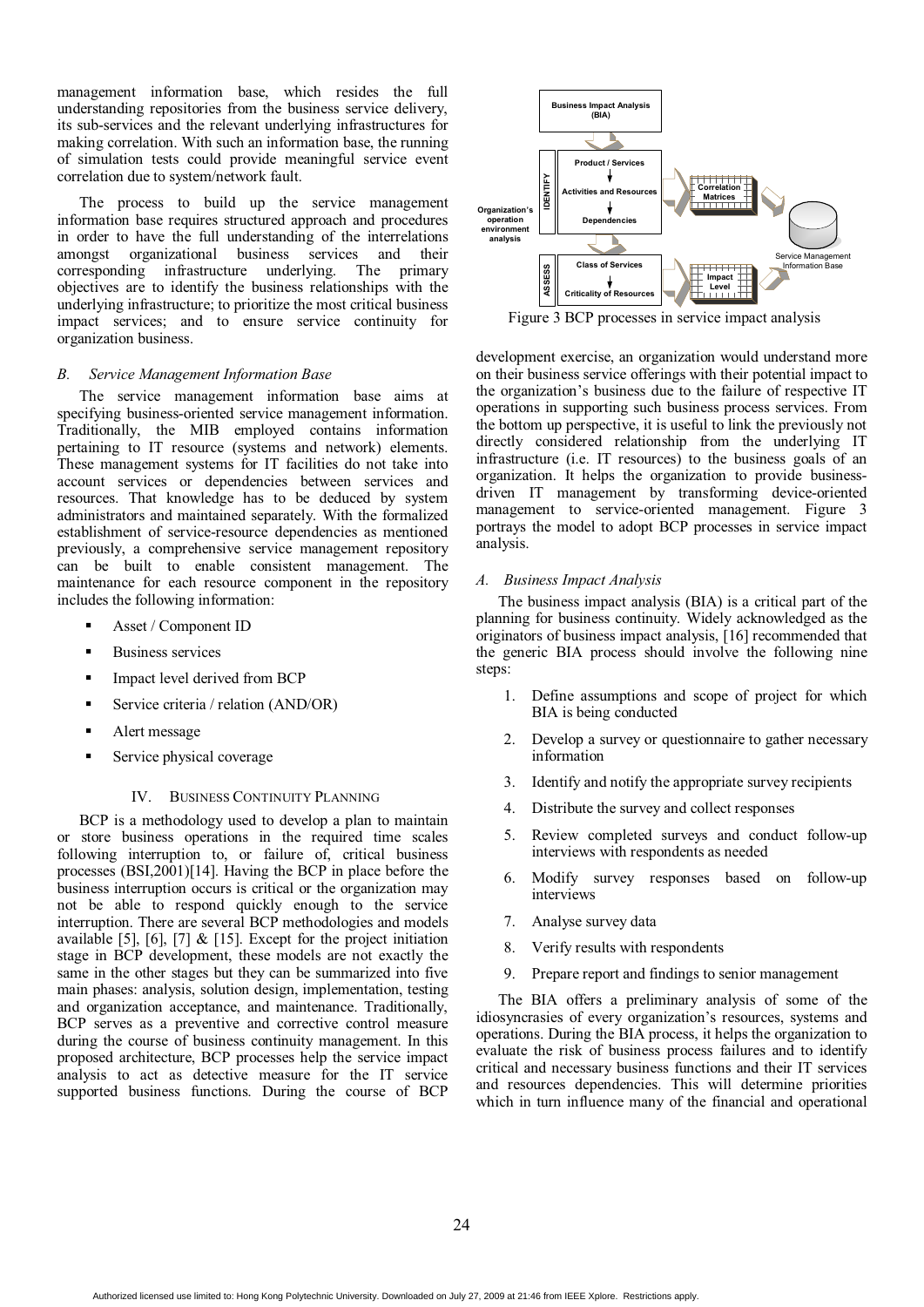management information base, which resides the full understanding repositories from the business service delivery, its sub-services and the relevant underlying infrastructures for making correlation. With such an information base, the running of simulation tests could provide meaningful service event correlation due to system/network fault.

The process to build up the service management information base requires structured approach and procedures in order to have the full understanding of the interrelations amongst organizational business services and their corresponding infrastructure underlying. The objectives are to identify the business relationships with the underlying infrastructure; to prioritize the most critical business impact services; and to ensure service continuity for organization business.

# *B. Service Management Information Base*

The service management information base aims at specifying business-oriented service management information. Traditionally, the MIB employed contains information pertaining to IT resource (systems and network) elements. These management systems for IT facilities do not take into account services or dependencies between services and resources. That knowledge has to be deduced by system administrators and maintained separately. With the formalized establishment of service-resource dependencies as mentioned previously, a comprehensive service management repository can be built to enable consistent management. The maintenance for each resource component in the repository includes the following information:

- -Asset / Component ID
- -Business services
- -Impact level derived from BCP
- -Service criteria / relation (AND/OR)
- -Alert message
- -Service physical coverage

#### IV. BUSINESS CONTINUITY PLANNING

BCP is a methodology used to develop a plan to maintain or store business operations in the required time scales following interruption to, or failure of, critical business processes (BSI,2001)[14]. Having the BCP in place before the business interruption occurs is critical or the organization may not be able to respond quickly enough to the service interruption. There are several BCP methodologies and models available [5], [6], [7]  $\&$  [15]. Except for the project initiation stage in BCP development, these models are not exactly the same in the other stages but they can be summarized into five main phases: analysis, solution design, implementation, testing and organization acceptance, and maintenance. Traditionally, BCP serves as a preventive and corrective control measure during the course of business continuity management. In this proposed architecture, BCP processes help the service impact analysis to act as detective measure for the IT service supported business functions. During the course of BCP

![](_page_3_Figure_12.jpeg)

development exercise, an organization would understand more on their business service offerings with their potential impact to the organization's business due to the failure of respective IT operations in supporting such business process services. From the bottom up perspective, it is useful to link the previously not directly considered relationship from the underlying IT infrastructure (i.e. IT resources) to the business goals of an organization. It helps the organization to provide businessdriven IT management by transforming device-oriented management to service-oriented management. Figure 3 portrays the model to adopt BCP processes in service impact analysis.

#### *A. Business Impact Analysis*

The business impact analysis (BIA) is a critical part of the planning for business continuity. Widely acknowledged as the originators of business impact analysis, [16] recommended that the generic BIA process should involve the following nine steps:

- 1. Define assumptions and scope of project for which BIA is being conducted
- 2. Develop a survey or questionnaire to gather necessary information
- 3. Identify and notify the appropriate survey recipients
- 4. Distribute the survey and collect responses
- Review completed surveys and conduct follow-up interviews with respondents as needed
- 6. Modify survey responses based on follow-up interviews
- 7. Analyse survey data
- 8. Verify results with respondents
- 9. Prepare report and findings to senior management

The BIA offers a preliminary analysis of some of the idiosyncrasies of every organization's resources, systems and operations. During the BIA process, it helps the organization to evaluate the risk of business process failures and to identify critical and necessary business functions and their IT services and resources dependencies. This will determine priorities which in turn influence many of the financial and operational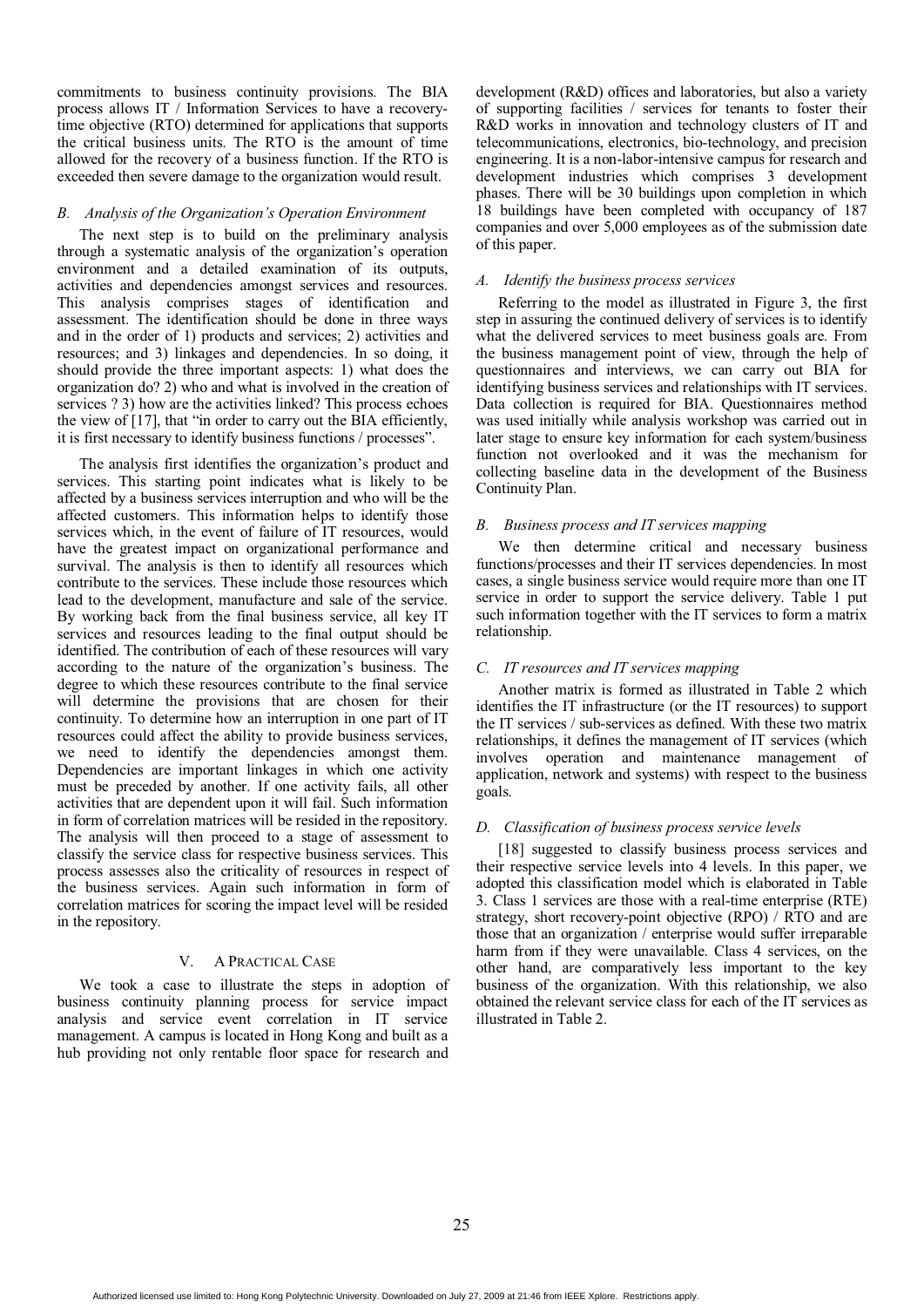commitments to business continuity provisions. The BIA process allows IT / Information Services to have a recoverytime objective (RTO) determined for applications that supports the critical business units. The RTO is the amount of time allowed for the recovery of a business function. If the RTO is exceeded then severe damage to the organization would result.

### *B. Analysis of the Organization's Operation Environment*

The next step is to build on the preliminary analysis through a systematic analysis of the organization's operation environment and a detailed examination of its outputs, activities and dependencies amongst services and resources. This analysis comprises stages of identification and assessment. The identification should be done in three ways and in the order of 1) products and services; 2) activities and resources; and 3) linkages and dependencies. In so doing, it should provide the three important aspects: 1) what does the organization do? 2) who and what is involved in the creation of services ? 3) how are the activities linked? This process echoes the view of [17], that "in order to carry out the BIA efficiently, it is first necessary to identify business functions / processes".

The analysis first identifies the organization's product and services. This starting point indicates what is likely to be affected by a business services interruption and who will be the affected customers. This information helps to identify those services which, in the event of failure of IT resources, would have the greatest impact on organizational performance and survival. The analysis is then to identify all resources which contribute to the services. These include those resources which lead to the development, manufacture and sale of the service. By working back from the final business service, all key IT services and resources leading to the final output should be identified. The contribution of each of these resources will vary according to the nature of the organization's business. The degree to which these resources contribute to the final service will determine the provisions that are chosen for their continuity. To determine how an interruption in one part of IT resources could affect the ability to provide business services, we need to identify the dependencies amongst them. Dependencies are important linkages in which one activity must be preceded by another. If one activity fails, all other activities that are dependent upon it will fail. Such information in form of correlation matrices will be resided in the repository. The analysis will then proceed to a stage of assessment to classify the service class for respective business services. This process assesses also the criticality of resources in respect of the business services. Again such information in form of correlation matrices for scoring the impact level will be resided in the repository.

#### V. A PRACTICAL CASE

We took a case to illustrate the steps in adoption of business continuity planning process for service impact analysis and service event correlation in IT service management. A campus is located in Hong Kong and built as a hub providing not only rentable floor space for research and

development (R&D) offices and laboratories, but also a variety of supporting facilities / services for tenants to foster their R&D works in innovation and technology clusters of IT and telecommunications, electronics, bio-technology, and precision engineering. It is a non-labor-intensive campus for research and development industries which comprises 3 development phases. There will be 30 buildings upon completion in which 18 buildings have been completed with occupancy of 187 companies and over 5,000 employees as of the submission date of this paper.

# *A. Identify the business process services*

Referring to the model as illustrated in Figure 3, the first step in assuring the continued delivery of services is to identify what the delivered services to meet business goals are. From the business management point of view, through the help of questionnaires and interviews, we can carry out BIA for identifying business services and relationships with IT services. Data collection is required for BIA. Questionnaires method was used initially while analysis workshop was carried out in later stage to ensure key information for each system/business function not overlooked and it was the mechanism for collecting baseline data in the development of the Business Continuity Plan.

# *B. Business process and IT services mapping*

We then determine critical and necessary business functions/processes and their IT services dependencies. In most cases, a single business service would require more than one IT service in order to support the service delivery. Table 1 put such information together with the IT services to form a matrix relationship.

# *C. IT resources and IT services mapping*

Another matrix is formed as illustrated in Table 2 which identifies the IT infrastructure (or the IT resources) to support the IT services / sub-services as defined. With these two matrix relationships, it defines the management of IT services (which involves operation and maintenance management of application, network and systems) with respect to the business goals.

# *D. Classification of business process service levels*

[18] suggested to classify business process services and their respective service levels into 4 levels. In this paper, we adopted this classification model which is elaborated in Table 3. Class 1 services are those with a real-time enterprise (RTE) strategy, short recovery-point objective (RPO) / RTO and are those that an organization / enterprise would suffer irreparable harm from if they were unavailable. Class 4 services, on the other hand, are comparatively less important to the key business of the organization. With this relationship, we also obtained the relevant service class for each of the IT services as illustrated in Table 2.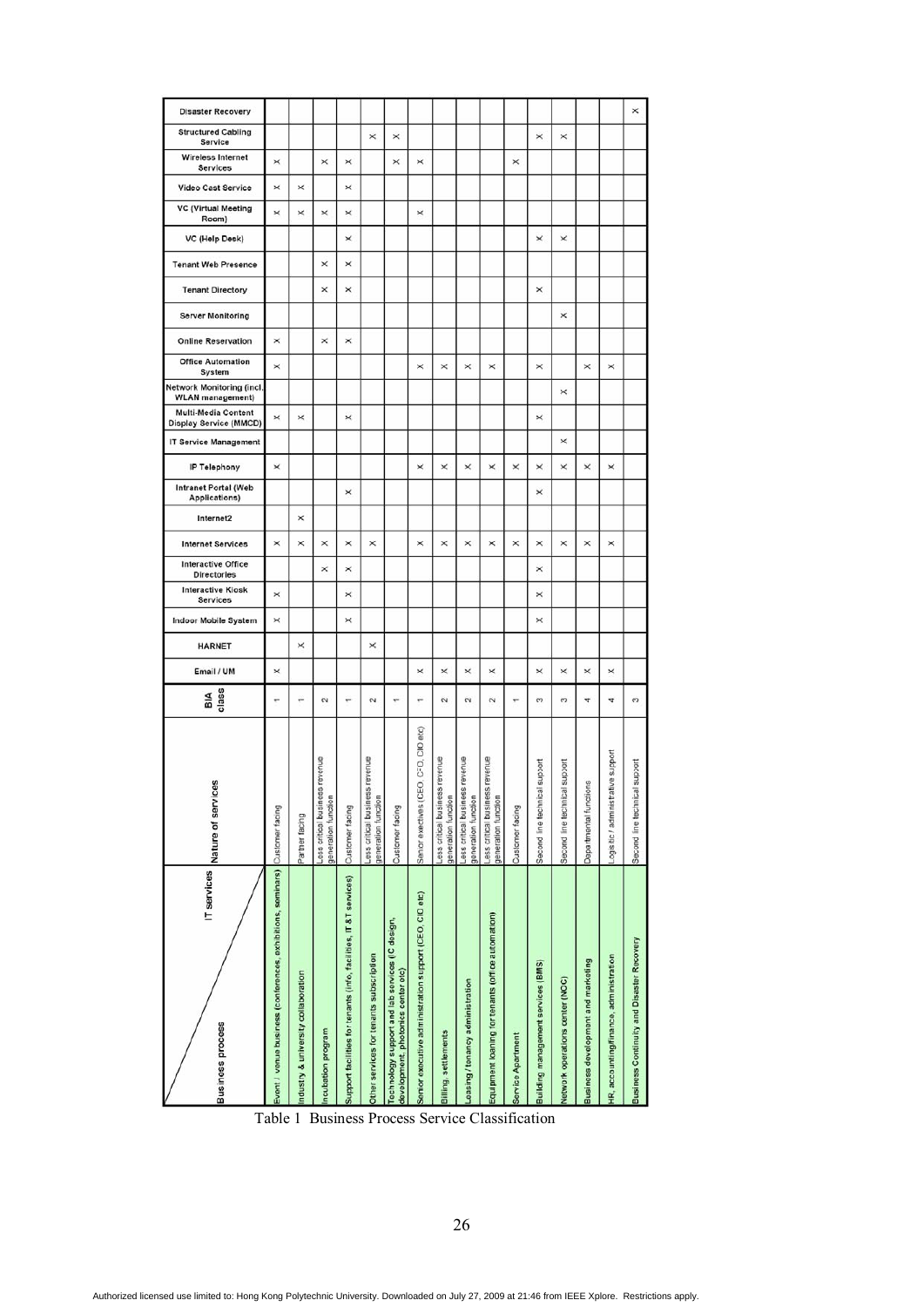| IT services<br><b>Business</b> process                                                | gg<br>Nature of servic                                   | BIA<br>class             | Email / UM | <b>HARNET</b> | <b>Services</b><br>Indoor Mobile System | <b>Directories</b><br><b>Interactive Kiosk</b> | Internet Services<br>Interactive Office | Internet2 | Intranet Portal (Web<br>Applications) | IP Telephony | <b>IT Service Management</b> | <b>Multi-Media Content</b><br>Display Service (MMCD) | Network Monitoring (incl.<br><b>WLAN</b> management) | <b>Office Automation</b><br>System | <b>Online Reservation</b> | <b>Server Monitoring</b> | <b>Tenant Web Presence</b><br><b>Tenant Directory</b> | VC (Help Desk) | <b>VC (Virtual Meeting</b><br>Room) | Video Cast Service | Wireless Internet<br>Services | <b>Structured Cabling</b><br>Service | <b>Disaster Recovery</b> |
|---------------------------------------------------------------------------------------|----------------------------------------------------------|--------------------------|------------|---------------|-----------------------------------------|------------------------------------------------|-----------------------------------------|-----------|---------------------------------------|--------------|------------------------------|------------------------------------------------------|------------------------------------------------------|------------------------------------|---------------------------|--------------------------|-------------------------------------------------------|----------------|-------------------------------------|--------------------|-------------------------------|--------------------------------------|--------------------------|
| Event / venue business (conferences, exhibitions, seminars) Customer facing           |                                                          | ÷                        | ×          |               | $\times$                                | $\times$                                       | ×                                       |           |                                       | ×            |                              | ×                                                    |                                                      | ×                                  | ×                         |                          |                                                       |                | $\times$                            | ×                  | ×                             |                                      |                          |
| Industry & university collaboration                                                   | Partner facing                                           | ÷                        |            | ×             |                                         |                                                | ×                                       | $\times$  |                                       |              |                              | ×                                                    |                                                      |                                    |                           |                          |                                                       |                | $\times$                            | ×                  |                               |                                      |                          |
| Incubation program                                                                    | ess critical business revenue<br>generation function     | $\sim$                   |            |               |                                         |                                                | $\times$<br>×                           |           |                                       |              |                              |                                                      |                                                      |                                    | $\times$                  |                          | ×<br>$\overline{\mathsf{x}}$                          |                | ×                                   |                    | ×                             |                                      |                          |
| Support facilities for tenants (info, facilities, IT &T services)                     | Customer facing                                          | ÷                        |            |               | ×                                       | ×<br>$\times$                                  | ×                                       |           | ×                                     |              |                              | ×                                                    |                                                      |                                    | $\times$                  |                          | ×<br>×                                                | ×              | ×                                   | ×                  | $\times$                      |                                      |                          |
| Other services for tenants subscription                                               | revenue<br>Less critical business<br>generation function | $\sim$                   |            | ×             |                                         |                                                | ×                                       |           |                                       |              |                              |                                                      |                                                      |                                    |                           |                          |                                                       |                |                                     |                    |                               | $\times$                             |                          |
| Technology support and lab services (IC design,<br>development, photonics center etc) | Customer facing                                          | ÷                        |            |               |                                         |                                                |                                         |           |                                       |              |                              |                                                      |                                                      |                                    |                           |                          |                                                       |                |                                     |                    | $\times$                      | ×                                    |                          |
| Senior executive administration support (CEO, CIO etc)                                | Senior exectives (CEO, CFO, CIO etc)                     | ÷                        | ×          |               |                                         |                                                | ×                                       |           |                                       | ×            |                              |                                                      |                                                      | ×                                  |                           |                          |                                                       |                | ×                                   |                    | ×                             |                                      |                          |
| Billing, settlements                                                                  | Less critical business revenue<br>generation function    | $\sim$                   | ×          |               |                                         |                                                | ×                                       |           |                                       | ×            |                              |                                                      |                                                      | ×                                  |                           |                          |                                                       |                |                                     |                    |                               |                                      |                          |
| Leasing / tenancy administration                                                      | Less critical business revenue<br>generation function    | $\sim$                   | $\times$   |               |                                         |                                                | ×                                       |           |                                       | ×            |                              |                                                      |                                                      | ×                                  |                           |                          |                                                       |                |                                     |                    |                               |                                      |                          |
| Equipment loaning for tenants (office automation)                                     | revenue<br>Less critical business<br>generation function | $\sim$                   | $\times$   |               |                                         |                                                | $\times$                                |           |                                       | ×            |                              |                                                      |                                                      | ×                                  |                           |                          |                                                       |                |                                     |                    |                               |                                      |                          |
| Service Apartment                                                                     | Customer facing                                          | $\overline{\phantom{a}}$ |            |               |                                         |                                                | $\times$                                |           |                                       | ×            |                              |                                                      |                                                      |                                    |                           |                          |                                                       |                |                                     |                    | $\times$                      |                                      |                          |
| Building management services (BMS)                                                    | support<br>Second line technical                         | c                        | ×          |               | ×                                       | ×<br>×                                         | ×                                       |           | ×                                     | ×            |                              | ×                                                    |                                                      | $\times$                           |                           |                          | ×                                                     | ×              |                                     |                    |                               | ×                                    |                          |
| Network operations center (NOC)                                                       | support<br>Second line technical                         | S.                       | $\times$   |               |                                         |                                                | ×                                       |           |                                       | ×            | ×                            |                                                      | $\times$                                             |                                    |                           | $\times$                 |                                                       | ×              |                                     |                    |                               | $\times$                             |                          |
| Business development and marketing                                                    | Departmental functions                                   | 4                        | ×          |               |                                         |                                                | $\times$                                |           |                                       | ×            |                              |                                                      |                                                      | ×                                  |                           |                          |                                                       |                |                                     |                    |                               |                                      |                          |
| HR, accounting/finance, administration                                                | tive support<br>.ogisitic / administra                   | 4                        | ×          |               |                                         |                                                | $\times$                                |           |                                       | ×            |                              |                                                      |                                                      | ×                                  |                           |                          |                                                       |                |                                     |                    |                               |                                      |                          |
| Business Continuity and Disaster Recovery                                             | support<br>Second line technical                         | co                       |            |               |                                         |                                                |                                         |           |                                       |              |                              |                                                      |                                                      |                                    |                           |                          |                                                       |                |                                     |                    |                               |                                      | ×                        |
|                                                                                       |                                                          |                          |            |               |                                         |                                                |                                         |           |                                       |              |                              |                                                      |                                                      |                                    |                           |                          |                                                       |                |                                     |                    |                               |                                      |                          |

Table 1 Business Process Service Classification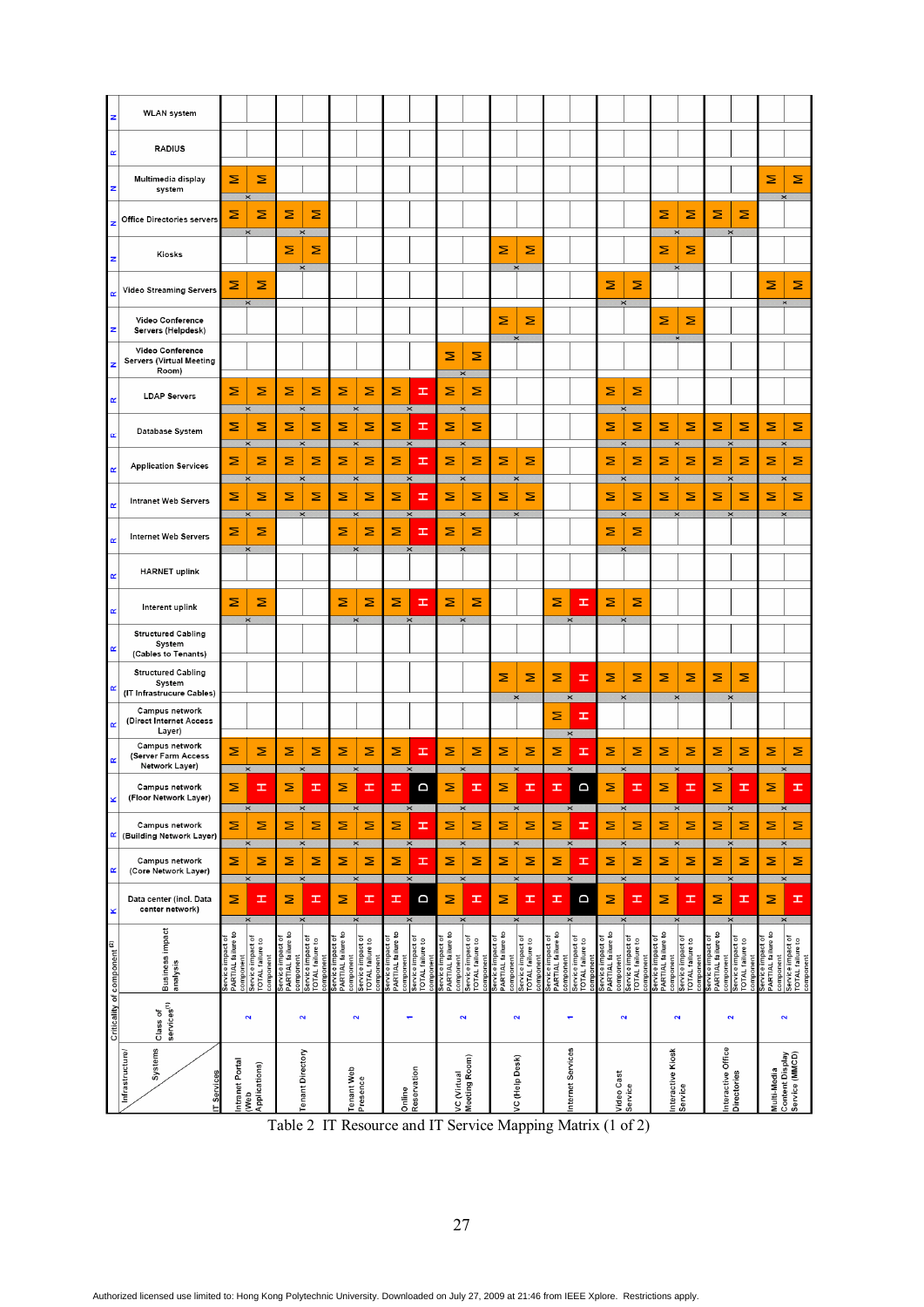| z                            | <b>WLAN</b> system                                               |                                                      |                                                    |                                                      |                                                    |                                                      |                                       |                                                                   |                                                    |                                                      |                                                    |                                                      |                                       |                                                                   |                                                    |                                                      |                                                    |                                                      |                                                                         |                                 |                                                    |                                                      |                                                    |
|------------------------------|------------------------------------------------------------------|------------------------------------------------------|----------------------------------------------------|------------------------------------------------------|----------------------------------------------------|------------------------------------------------------|---------------------------------------|-------------------------------------------------------------------|----------------------------------------------------|------------------------------------------------------|----------------------------------------------------|------------------------------------------------------|---------------------------------------|-------------------------------------------------------------------|----------------------------------------------------|------------------------------------------------------|----------------------------------------------------|------------------------------------------------------|-------------------------------------------------------------------------|---------------------------------|----------------------------------------------------|------------------------------------------------------|----------------------------------------------------|
| œ                            | <b>RADIUS</b>                                                    |                                                      |                                                    |                                                      |                                                    |                                                      |                                       |                                                                   |                                                    |                                                      |                                                    |                                                      |                                       |                                                                   |                                                    |                                                      |                                                    |                                                      |                                                                         |                                 |                                                    |                                                      |                                                    |
|                              | Multimedia display<br>system                                     | Σ                                                    | Σ                                                  |                                                      |                                                    |                                                      |                                       |                                                                   |                                                    |                                                      |                                                    |                                                      |                                       |                                                                   |                                                    |                                                      |                                                    |                                                      |                                                                         |                                 |                                                    | Σ                                                    | Σ                                                  |
|                              | <b>Office Directories servers</b>                                | Σ                                                    | Σ<br>$\times$                                      | Σ                                                    | Σ<br>$\times$                                      |                                                      |                                       |                                                                   |                                                    |                                                      |                                                    |                                                      |                                       |                                                                   |                                                    |                                                      |                                                    | Σ                                                    | Σ<br>$\times$                                                           | Σ<br>$\times$                   | Σ                                                  |                                                      |                                                    |
|                              | Kiosks                                                           |                                                      |                                                    | Σ                                                    | Σ                                                  |                                                      |                                       |                                                                   |                                                    |                                                      |                                                    | Σ                                                    | Σ                                     |                                                                   |                                                    |                                                      |                                                    | Σ                                                    | Σ                                                                       |                                 |                                                    |                                                      |                                                    |
| œ                            | Video Streaming Servers                                          | Σ                                                    | Σ<br>$\overline{\mathbf{x}}$                       |                                                      |                                                    |                                                      |                                       |                                                                   |                                                    |                                                      |                                                    |                                                      |                                       |                                                                   |                                                    | Σ                                                    | Σ                                                  |                                                      |                                                                         |                                 |                                                    | Σ                                                    | Σ                                                  |
| z                            | Video Conference<br>Servers (Helpdesk)                           |                                                      |                                                    |                                                      |                                                    |                                                      |                                       |                                                                   |                                                    |                                                      |                                                    | ⋝<br>$\times$                                        | Σ                                     |                                                                   |                                                    |                                                      |                                                    | Σ                                                    | Σ<br>$\times$                                                           |                                 |                                                    |                                                      |                                                    |
| z                            | Video Conference<br><b>Servers (Virtual Meeting</b><br>Room)     |                                                      |                                                    |                                                      |                                                    |                                                      |                                       |                                                                   |                                                    | Σ                                                    | Σ<br>$\times$                                      |                                                      |                                       |                                                                   |                                                    |                                                      |                                                    |                                                      |                                                                         |                                 |                                                    |                                                      |                                                    |
| œ                            | <b>LDAP Servers</b>                                              | Σ                                                    | Σ<br>$\times$                                      | Σ<br>$\times$                                        | Σ                                                  | Σ                                                    | Σ<br>$\pmb{\times}$                   | Σ<br>$\times$                                                     | ᆂ                                                  | Σ<br>$\times$                                        | Σ                                                  |                                                      |                                       |                                                                   |                                                    | Σ<br>$\times$                                        | Σ                                                  |                                                      |                                                                         |                                 |                                                    |                                                      |                                                    |
|                              | Database System                                                  | Σ                                                    | Σ<br>×                                             | Σ                                                    | Σ<br>$\mathbf{x}$                                  | Σ                                                    | Σ<br>$\times$                         | Σ                                                                 | ᆂ                                                  | Σ                                                    | Σ                                                  |                                                      |                                       |                                                                   |                                                    | Σ                                                    | Σ                                                  | Σ<br>$\times$                                        | Σ                                                                       | Σ                               | Σ                                                  | Σ                                                    | Σ                                                  |
| œ                            | <b>Application Services</b>                                      | Σ                                                    | Σ<br>$\times$                                      | Σ                                                    | Σ<br>$\times$                                      | Σ                                                    | Σ<br>$\times$                         | Σ                                                                 | ᆂ<br>$\times$                                      | Σ                                                    | Σ<br>$\times$                                      | Σ                                                    | Σ<br>$\times$                         |                                                                   |                                                    | Σ                                                    | Σ<br>$\times$                                      | Σ<br>$\times$                                        | Σ                                                                       | Σ<br>$\times$                   | Σ                                                  | Σ                                                    | Σ                                                  |
| œ                            | <b>Intranet Web Servers</b>                                      | Σ                                                    | Σ                                                  | Ξ                                                    | Σ                                                  | Σ                                                    | Σ                                     | Σ                                                                 | Ŧ                                                  | Σ                                                    | Σ                                                  | Σ                                                    | Σ                                     |                                                                   |                                                    | Σ                                                    | Σ                                                  | Σ                                                    | Σ                                                                       | Σ                               | Σ                                                  | Σ                                                    | Σ                                                  |
| œ                            | <b>Internet Web Servers</b>                                      | Σ                                                    | Σ<br>$\times$                                      |                                                      |                                                    | Σ                                                    | Σ<br>$\times$                         | ⋝<br>$\times$                                                     | ᆂ                                                  | Σ                                                    | Σ<br>$\times$                                      |                                                      |                                       |                                                                   |                                                    | Σ                                                    | Σ<br>$\times$                                      |                                                      |                                                                         |                                 |                                                    |                                                      |                                                    |
| œ                            | <b>HARNET</b> uplink                                             |                                                      |                                                    |                                                      |                                                    |                                                      |                                       |                                                                   |                                                    |                                                      |                                                    |                                                      |                                       |                                                                   |                                                    |                                                      |                                                    |                                                      |                                                                         |                                 |                                                    |                                                      |                                                    |
| œ                            | Interent uplink                                                  | Σ                                                    | Σ<br>$\overline{\mathbf{x}}$                       |                                                      |                                                    | Σ                                                    | Σ<br>$\overline{\mathbf{x}}$          | Σ                                                                 | Ŧ                                                  | Σ                                                    | Σ<br>$\times$                                      |                                                      |                                       | Σ                                                                 | Ŧ                                                  | Σ                                                    | Σ<br>$\times$                                      |                                                      |                                                                         |                                 |                                                    |                                                      |                                                    |
| œ                            | <b>Structured Cabling</b><br>System<br>(Cables to Tenants)       |                                                      |                                                    |                                                      |                                                    |                                                      |                                       |                                                                   |                                                    |                                                      |                                                    |                                                      |                                       |                                                                   |                                                    |                                                      |                                                    |                                                      |                                                                         |                                 |                                                    |                                                      |                                                    |
| œ                            | <b>Structured Cabling</b><br>System<br>(IT Infrastrucure Cables) |                                                      |                                                    |                                                      |                                                    |                                                      |                                       |                                                                   |                                                    |                                                      |                                                    | Σ                                                    | Σ                                     | Σ                                                                 | Ŧ                                                  | Σ                                                    | Σ                                                  | Σ                                                    | Σ                                                                       | Σ                               | Σ                                                  |                                                      |                                                    |
| œ                            | Campus network<br>(Direct Internet Access<br>Layer)              |                                                      |                                                    |                                                      |                                                    |                                                      |                                       |                                                                   |                                                    |                                                      |                                                    |                                                      | $\times$                              | Σ                                                                 | $\pmb{\times}$<br>I                                |                                                      | $\times$                                           | $\times$                                             |                                                                         | $\times$                        |                                                    |                                                      |                                                    |
| œ                            | Campus network<br>(Server Farm Access<br>Network Layer)          | Σ                                                    | Σ<br>$\times$                                      | Σ                                                    | Σ<br>$\pmb{\times}$                                | Σ                                                    | Σ<br>$\times$                         | Σ                                                                 | Ŧ                                                  | Σ                                                    | Σ<br>$\times$                                      | Σ                                                    | Σ<br>$\times$                         | Σ                                                                 | Ŧ<br>$\times$                                      | Σ                                                    | Σ<br>$\times$                                      | Σ<br>$\pmb{\times}$                                  | Σ                                                                       | Σ<br>$\times$                   | Σ                                                  | Σ<br>$\times$                                        | Σ                                                  |
| ×                            | Campus network<br>(Floor Network Layer)                          |                                                      |                                                    |                                                      |                                                    |                                                      |                                       |                                                                   |                                                    | ⋍                                                    |                                                    |                                                      |                                       |                                                                   |                                                    |                                                      |                                                    |                                                      |                                                                         |                                 |                                                    |                                                      |                                                    |
| R                            | Campus network<br>(Building Network Layer)                       | Σ                                                    | $\pmb{\times}$<br>Σ                                | Σ                                                    | $\times$<br>Σ                                      | Σ                                                    | $\pmb{\times}$<br>Σ                   | $\times$<br>Σ                                                     | H                                                  | Σ                                                    | $\times$<br>Σ                                      | Σ                                                    | $\pmb{\times}$<br>Σ                   | Σ                                                                 | $\times$<br>Ŧ                                      | Σ                                                    | $\times$<br>Σ                                      | Σ                                                    | $\times$<br>Σ                                                           | Σ                               | $\pmb{\times}$<br>Σ                                | $\pmb{\times}$<br>Σ                                  | Σ                                                  |
| œ                            | Campus network<br>(Core Network Layer)                           | Σ                                                    | Σ                                                  | Σ                                                    | $\times$<br>Σ                                      | Σ                                                    | $\times$<br>Σ                         | $\times$<br>Σ                                                     | Ŧ                                                  | Σ                                                    | $\times$<br>Σ                                      | Σ                                                    | $\times$<br>Σ                         | Σ                                                                 | $\times$<br>œ                                      | Σ                                                    | $\times$<br>Σ                                      | $\times$<br>Σ                                        | Σ                                                                       | $\times$<br>Σ                   | Σ                                                  | $\times$<br>Σ                                        | Σ                                                  |
| ×                            | Data center (incl. Data<br>center network)                       | Σ                                                    | $\overline{\mathsf{x}}$<br>œ                       | Σ                                                    | $\times$<br>H                                      | Σ                                                    | $\pmb{\times}$<br>H                   | $\pmb{\times}$<br>H                                               | D                                                  | Σ                                                    | $\times$<br>Ŧ                                      | Σ                                                    | $\pmb{\times}$<br>Ŧ                   | H                                                                 | $\pmb{\times}$<br>a                                | Σ                                                    | $\times$<br>H                                      | Σ                                                    | $\pmb{\times}$<br>H                                                     | $\pmb{\times}$<br>Σ             | H                                                  | $\times$<br>Σ                                        | H                                                  |
|                              |                                                                  |                                                      | ×                                                  |                                                      | $\times$                                           |                                                      |                                       | $\times$                                                          |                                                    |                                                      | $\times$                                           |                                                      | ×                                     |                                                                   | $\times$                                           |                                                      | $\times$                                           |                                                      |                                                                         |                                 |                                                    | $\times$                                             |                                                    |
|                              | <b>Business impact</b><br>analysis                               | PARTIAL failure to<br>Service impact of<br>component | Service impact of<br>TOTAL failure to<br>component | Service impact of<br>PARTIAL failure to<br>component | Service impact of<br>TOTAL failure to<br>component | Service impact of<br>PARTIAL failure to<br>component | Service impact of<br>TOTAL failure to | component<br>Service impact of<br>PARTIAL failure to<br>component | Service impact of<br>TOTAL failure to<br>component | Service impact of<br>PARTIAL failure to<br>component | Service impact of<br>TOTAL failure to<br>component | Service impact of<br>PARTIAL failure to<br>component | Service impact of<br>TOTAL failure to | component<br>Service impact of<br>PARTIAL failure to<br>component | Service impact of<br>TOTAL failure to<br>component | Service impact of<br>PARTIAL failure to<br>component | Service impact of<br>TOTAL failure to<br>component | Service impact of<br>PARTIAL failure to<br>component | Service impact of<br>TOTAL failure to<br>component<br>Service impact of | PARTIAL failure to<br>component | Service impact of<br>TOTAL failure to<br>component | Service impact of<br>PARTIAL failure to<br>component | Service impact of<br>TOTAL failure to<br>component |
| Criticality of component (2) | services <sup>(1)</sup><br>Class of                              |                                                      | $\mathbf{\tilde{N}}$                               |                                                      | $\sim$                                             |                                                      | $\mathbf{\tilde{z}}$                  | ۳                                                                 |                                                    |                                                      | $\mathbf{\tilde{N}}$                               |                                                      | $\mathbf{\tilde{z}}$                  |                                                                   | ۳                                                  |                                                      | $\mathbf{N}$                                       | $\mathbf{N}$                                         |                                                                         |                                 | $\overline{\mathbf{N}}$                            | $\overline{\mathbf{N}}$                              |                                                    |
|                              |                                                                  |                                                      |                                                    |                                                      |                                                    |                                                      |                                       |                                                                   |                                                    |                                                      |                                                    |                                                      |                                       |                                                                   |                                                    |                                                      |                                                    |                                                      |                                                                         |                                 |                                                    |                                                      |                                                    |
|                              | Systems<br>Infrastructure/<br>IT Services                        | Intranet Portal                                      | Applications)<br>(Web                              |                                                      | <b>Tenant Directory</b>                            | <b>Tenant Web</b>                                    | Presence                              | Online                                                            | Reservation                                        | VC (Virtual                                          | Meeting Room)                                      |                                                      | VC (Help Desk)                        |                                                                   | nternet Services                                   | Video Cast                                           | Service                                            | Interactive Kiosk<br>Service                         |                                                                         | Interactive Office              | Directories                                        |                                                      | Multi-Media<br>Content Display<br>Service (MMCD)   |

Table 2 IT Resource and IT Service Mapping Matrix (1 of 2)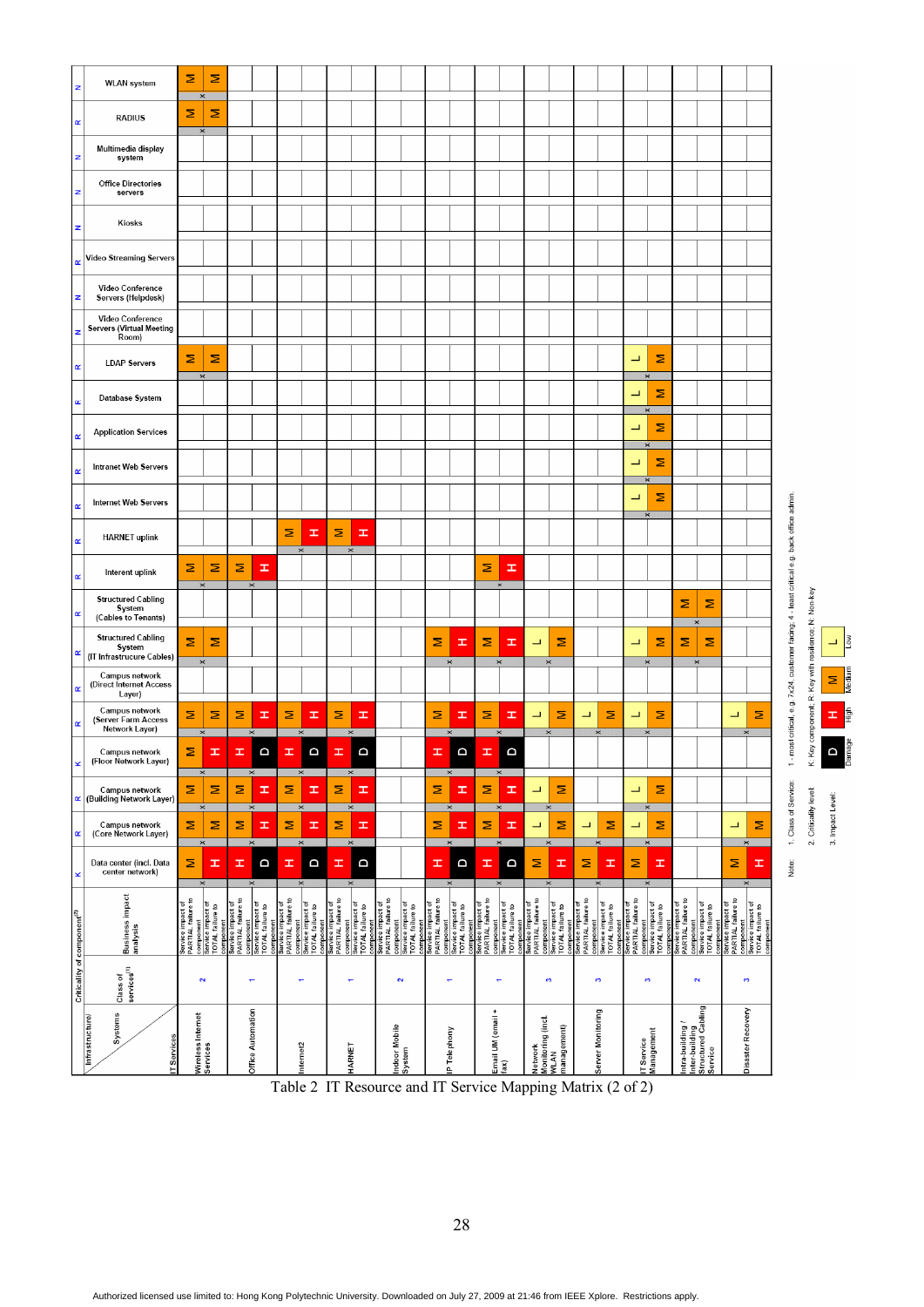| z                                       | <b>WLAN</b> system                                                     | Ξ                                                                                             | Σ                             |                                                      |                                                    |                                                      |                                                                |                                         |                                                                |                                         |                                                                |                                         |                                                                 |                                                                                               |                |                                                      |                                                    |                                                      |                                                                |                                         |                                                    |                                                      |                                                 |                                                      |                                                                 |                                                                                        |
|-----------------------------------------|------------------------------------------------------------------------|-----------------------------------------------------------------------------------------------|-------------------------------|------------------------------------------------------|----------------------------------------------------|------------------------------------------------------|----------------------------------------------------------------|-----------------------------------------|----------------------------------------------------------------|-----------------------------------------|----------------------------------------------------------------|-----------------------------------------|-----------------------------------------------------------------|-----------------------------------------------------------------------------------------------|----------------|------------------------------------------------------|----------------------------------------------------|------------------------------------------------------|----------------------------------------------------------------|-----------------------------------------|----------------------------------------------------|------------------------------------------------------|-------------------------------------------------|------------------------------------------------------|-----------------------------------------------------------------|----------------------------------------------------------------------------------------|
| $\pmb{\alpha}$                          | <b>RADIUS</b>                                                          | Σ                                                                                             | Σ<br>$\times$                 |                                                      |                                                    |                                                      |                                                                |                                         |                                                                |                                         |                                                                |                                         |                                                                 |                                                                                               |                |                                                      |                                                    |                                                      |                                                                |                                         |                                                    |                                                      |                                                 |                                                      |                                                                 |                                                                                        |
|                                         | Multimedia display<br>system                                           |                                                                                               |                               |                                                      |                                                    |                                                      |                                                                |                                         |                                                                |                                         |                                                                |                                         |                                                                 |                                                                                               |                |                                                      |                                                    |                                                      |                                                                |                                         |                                                    |                                                      |                                                 |                                                      |                                                                 |                                                                                        |
| z                                       | <b>Office Directories</b><br>servers                                   |                                                                                               |                               |                                                      |                                                    |                                                      |                                                                |                                         |                                                                |                                         |                                                                |                                         |                                                                 |                                                                                               |                |                                                      |                                                    |                                                      |                                                                |                                         |                                                    |                                                      |                                                 |                                                      |                                                                 |                                                                                        |
|                                         | Kiosks                                                                 |                                                                                               |                               |                                                      |                                                    |                                                      |                                                                |                                         |                                                                |                                         |                                                                |                                         |                                                                 |                                                                                               |                |                                                      |                                                    |                                                      |                                                                |                                         |                                                    |                                                      |                                                 |                                                      |                                                                 |                                                                                        |
| $\alpha$                                | Video Streaming Servers                                                |                                                                                               |                               |                                                      |                                                    |                                                      |                                                                |                                         |                                                                |                                         |                                                                |                                         |                                                                 |                                                                                               |                |                                                      |                                                    |                                                      |                                                                |                                         |                                                    |                                                      |                                                 |                                                      |                                                                 |                                                                                        |
| z                                       | Video Conference<br>Servers (Helpdesk)                                 |                                                                                               |                               |                                                      |                                                    |                                                      |                                                                |                                         |                                                                |                                         |                                                                |                                         |                                                                 |                                                                                               |                |                                                      |                                                    |                                                      |                                                                |                                         |                                                    |                                                      |                                                 |                                                      |                                                                 |                                                                                        |
| z                                       | Video Conference<br><b>Servers (Virtual Meeting</b><br>Room)           |                                                                                               |                               |                                                      |                                                    |                                                      |                                                                |                                         |                                                                |                                         |                                                                |                                         |                                                                 |                                                                                               |                |                                                      |                                                    |                                                      |                                                                |                                         |                                                    |                                                      |                                                 |                                                      |                                                                 |                                                                                        |
| œ                                       | <b>LDAP Servers</b>                                                    | Σ                                                                                             | Σ                             |                                                      |                                                    |                                                      |                                                                |                                         |                                                                |                                         |                                                                |                                         |                                                                 |                                                                                               |                |                                                      |                                                    |                                                      |                                                                | ᆜ                                       | Σ                                                  |                                                      |                                                 |                                                      |                                                                 |                                                                                        |
|                                         | Database System                                                        |                                                                                               | $\times$                      |                                                      |                                                    |                                                      |                                                                |                                         |                                                                |                                         |                                                                |                                         |                                                                 |                                                                                               |                |                                                      |                                                    |                                                      |                                                                | ┙                                       | Σ                                                  |                                                      |                                                 |                                                      |                                                                 |                                                                                        |
|                                         | <b>Application Services</b>                                            |                                                                                               |                               |                                                      |                                                    |                                                      |                                                                |                                         |                                                                |                                         |                                                                |                                         |                                                                 |                                                                                               |                |                                                      |                                                    |                                                      |                                                                | $\overline{\phantom{0}}$                | $\times$<br>Σ                                      |                                                      |                                                 |                                                      |                                                                 |                                                                                        |
|                                         | <b>Intranet Web Servers</b>                                            |                                                                                               |                               |                                                      |                                                    |                                                      |                                                                |                                         |                                                                |                                         |                                                                |                                         |                                                                 |                                                                                               |                |                                                      |                                                    |                                                      |                                                                | ┙                                       | $\times$<br>Σ                                      |                                                      |                                                 |                                                      |                                                                 |                                                                                        |
| œ                                       | <b>Internet Web Servers</b>                                            |                                                                                               |                               |                                                      |                                                    |                                                      |                                                                |                                         |                                                                |                                         |                                                                |                                         |                                                                 |                                                                                               |                |                                                      |                                                    |                                                      |                                                                | ⊐                                       | $\times$<br>Σ                                      |                                                      |                                                 |                                                      |                                                                 |                                                                                        |
| œ                                       | <b>HARNET uplink</b>                                                   |                                                                                               |                               |                                                      |                                                    | Σ                                                    | Ŧ                                                              | Σ                                       | Ŧ                                                              |                                         |                                                                |                                         |                                                                 |                                                                                               |                |                                                      |                                                    |                                                      |                                                                |                                         |                                                    |                                                      |                                                 |                                                      |                                                                 |                                                                                        |
| œ                                       | Interent uplink                                                        | Σ                                                                                             | Σ                             | Σ                                                    | H                                                  |                                                      | $\times$                                                       |                                         | $\times$                                                       |                                         |                                                                |                                         |                                                                 | Σ                                                                                             | Ŧ              |                                                      |                                                    |                                                      |                                                                |                                         |                                                    |                                                      |                                                 |                                                      |                                                                 |                                                                                        |
| œ                                       | <b>Structured Cabling</b><br>System                                    |                                                                                               | $\times$                      |                                                      | $\times$                                           |                                                      |                                                                |                                         |                                                                |                                         |                                                                |                                         |                                                                 |                                                                                               |                |                                                      |                                                    |                                                      |                                                                |                                         |                                                    | Σ                                                    | Σ                                               |                                                      |                                                                 | - most critical, e.g. 7x24, customer facing; 4 - least critical e.g. back office admin |
|                                         | (Cables to Tenants)<br><b>Structured Cabling</b><br>System             | Σ                                                                                             | Σ                             |                                                      |                                                    |                                                      |                                                                |                                         |                                                                |                                         |                                                                | Σ                                       | H                                                               | Σ                                                                                             | Ŧ              | ⊐                                                    | Σ                                                  |                                                      |                                                                | ⊐                                       | Σ                                                  | Σ                                                    | $\times$<br>Σ                                   |                                                      |                                                                 |                                                                                        |
| œ                                       | (IT Infrastrucure Cables)<br>Campus network<br>(Direct Internet Access |                                                                                               | $\times$                      |                                                      |                                                    |                                                      |                                                                |                                         |                                                                |                                         |                                                                |                                         | $\times$                                                        |                                                                                               | $\pmb{\times}$ | $\pmb{\times}$                                       |                                                    |                                                      |                                                                |                                         | $\pmb{\times}$                                     |                                                      | $\boldsymbol{\times}$                           |                                                      |                                                                 |                                                                                        |
| œ                                       | Layer)<br>Campus network                                               | Σ                                                                                             | Σ                             | Σ                                                    | H                                                  | Σ                                                    | H                                                              | Σ                                       | H                                                              |                                         |                                                                | Σ                                       | œ                                                               | Σ                                                                                             | Ŧ              | ⊐                                                    | Σ                                                  | ⊐                                                    | Σ                                                              | ⊐                                       | Σ                                                  |                                                      |                                                 | ⊐                                                    | Σ                                                               |                                                                                        |
| œ                                       | (Server Farm Access<br>Network Layer)<br>Campus network                | Σ                                                                                             | $\times$<br>ェ                 | H                                                    | D                                                  | ェ                                                    | a                                                              | ᆂ                                       | a                                                              |                                         |                                                                | I                                       | a                                                               | ᆂ                                                                                             | a              |                                                      |                                                    |                                                      |                                                                |                                         | ×                                                  |                                                      |                                                 |                                                      | $\times$                                                        |                                                                                        |
|                                         | (Floor Network Layer)                                                  |                                                                                               | $\times$                      |                                                      | $\pmb{\times}$                                     |                                                      | ×                                                              |                                         | ×                                                              |                                         |                                                                |                                         | $\times$                                                        | ×                                                                                             |                |                                                      |                                                    |                                                      |                                                                |                                         |                                                    |                                                      |                                                 |                                                      |                                                                 |                                                                                        |
| R                                       | Campus network<br>(Building Network Layer)                             | Σ                                                                                             | Σ<br>$\times$                 | Σ                                                    | Ŧ<br>$\times$                                      | Σ                                                    | Ŧ<br>$\times$                                                  | Σ                                       | œ<br>$\pmb{\times}$                                            |                                         |                                                                | Σ                                       | œ                                                               | Σ<br>$\times$                                                                                 | Ŧ              | ⊐                                                    | Σ                                                  |                                                      |                                                                | ⊐                                       | Σ<br>$\times$                                      |                                                      |                                                 |                                                      |                                                                 |                                                                                        |
| œ                                       | Campus network<br>(Core Network Layer)                                 | Σ                                                                                             | Σ<br>$\times$                 | Σ                                                    | ᆂ<br>$\pmb{\times}$                                | Σ                                                    | Ŧ<br>$\pmb{\times}$                                            | Σ                                       | H<br>$\pmb{\times}$                                            |                                         |                                                                | Σ                                       | H<br>$\times$                                                   | Σ<br>$\times$                                                                                 | Ŧ              | ⊐<br>$\times$                                        | Σ                                                  | ┙                                                    | Σ<br>$\times$                                                  | ⊐                                       | Σ<br>$\times$                                      |                                                      |                                                 | ┙                                                    | Σ<br>$\times$                                                   |                                                                                        |
|                                         | Data center (incl. Data<br>center network)                             | Σ                                                                                             | Ŧ<br>$\pmb{\times}$           | ᆂ                                                    | O<br>$\times$                                      | Ŧ                                                    | a<br>$\times$                                                  | ᆂ                                       | a<br>$\times$                                                  |                                         |                                                                | I                                       | a<br>$\times$                                                   | I<br>$\times$                                                                                 | a              | Σ<br>$\times$                                        | ᆂ                                                  | Σ                                                    | ェ<br>$\times$                                                  | Σ                                       | ᆂ<br>$\times$                                      |                                                      |                                                 | Σ                                                    | I<br>$\pmb{\times}$                                             |                                                                                        |
|                                         | Business impact<br>analysis                                            | Service impact of<br>PARTIAL failure to<br>component<br>Service impact of<br>TOTAL failure to |                               | component<br>Service impact of<br>PARTIAL failure to |                                                    | component<br>Service impact of<br>PARTIAL failure to |                                                                |                                         |                                                                |                                         |                                                                |                                         |                                                                 | Service impact of<br>PARTIAL failure to<br>component<br>Service impact of<br>TOTAL failure to |                | component<br>Service impact of<br>PARTIAL failure to |                                                    | component<br>Service impact of<br>PARTIAL failure to |                                                                | Service impact of<br>PARTIAL failure to |                                                    | component<br>Service impact of<br>PARTIAL failure to |                                                 | component<br>Service impact of<br>PARTIAL failure to |                                                                 |                                                                                        |
|                                         |                                                                        |                                                                                               |                               |                                                      | component<br>Service impact of<br>TOTAL failure to |                                                      | component<br>Service impact of<br>TOTAL failure to<br>omponent | Service impact of<br>PARTIAL failure to | component<br>Service impact of<br>TOTAL failure to<br>omponent | Service impact of<br>PARTIAL failure to | component<br>Service impact of<br>TOTAL failure to<br>omponent | Service impact of<br>PARTIAL failure to | component<br>Service impact of<br>TOTAL failure to<br>component |                                                                                               |                |                                                      | component<br>Service impact of<br>TOTAL failure to |                                                      | component<br>Service impact of<br>TOTAL failure to<br>omponent |                                         | component<br>Service impact of<br>TOTAL failure to | component                                            | Service impact of<br>TOTAL failure to           |                                                      | component<br>Service impact of<br>TOTAL failure to<br>component |                                                                                        |
| Criticality of component <sup>(2)</sup> | Class of<br>services <sup>(1)</sup>                                    |                                                                                               | $\overline{\mathbf{c}}$       |                                                      | ٠                                                  |                                                      | ۳                                                              |                                         | $\overline{\phantom{0}}$                                       |                                         | $\mathbf{\tilde{N}}$                                           |                                         | ۳                                                               | ۳                                                                                             |                | $\bullet$                                            |                                                    |                                                      | $\bullet$                                                      |                                         | s.                                                 |                                                      | $\overline{\mathbf{N}}$                         |                                                      | $\bullet$                                                       |                                                                                        |
|                                         | Systems<br>Infrastructure/<br><b>TServices</b>                         |                                                                                               | Wireless Internet<br>Services |                                                      | Office Automation                                  |                                                      | Internet2                                                      |                                         | HARNET                                                         | ndoor Mobile                            | System                                                         |                                         | P Telephony                                                     | Email UM (email +<br>fax)                                                                     |                | Monitoring (incl.<br>Network                         | management)<br><b>WLAN</b>                         |                                                      | Server Monitoring                                              | IT Service                              | Management                                         | Intra-building/                                      | Inter-building<br>Structured Cabling<br>Service |                                                      | Disaster Recovery                                               |                                                                                        |

K: Key component; R: Key with resilience; N: Non-key

2. Criticality level: 3. Impact Level:

 $\overline{\mathsf{S}}$ L.

Σ

 $\mathsf{D}$ 

Table 2 IT Resource and IT Service Mapping Matrix (2 of 2)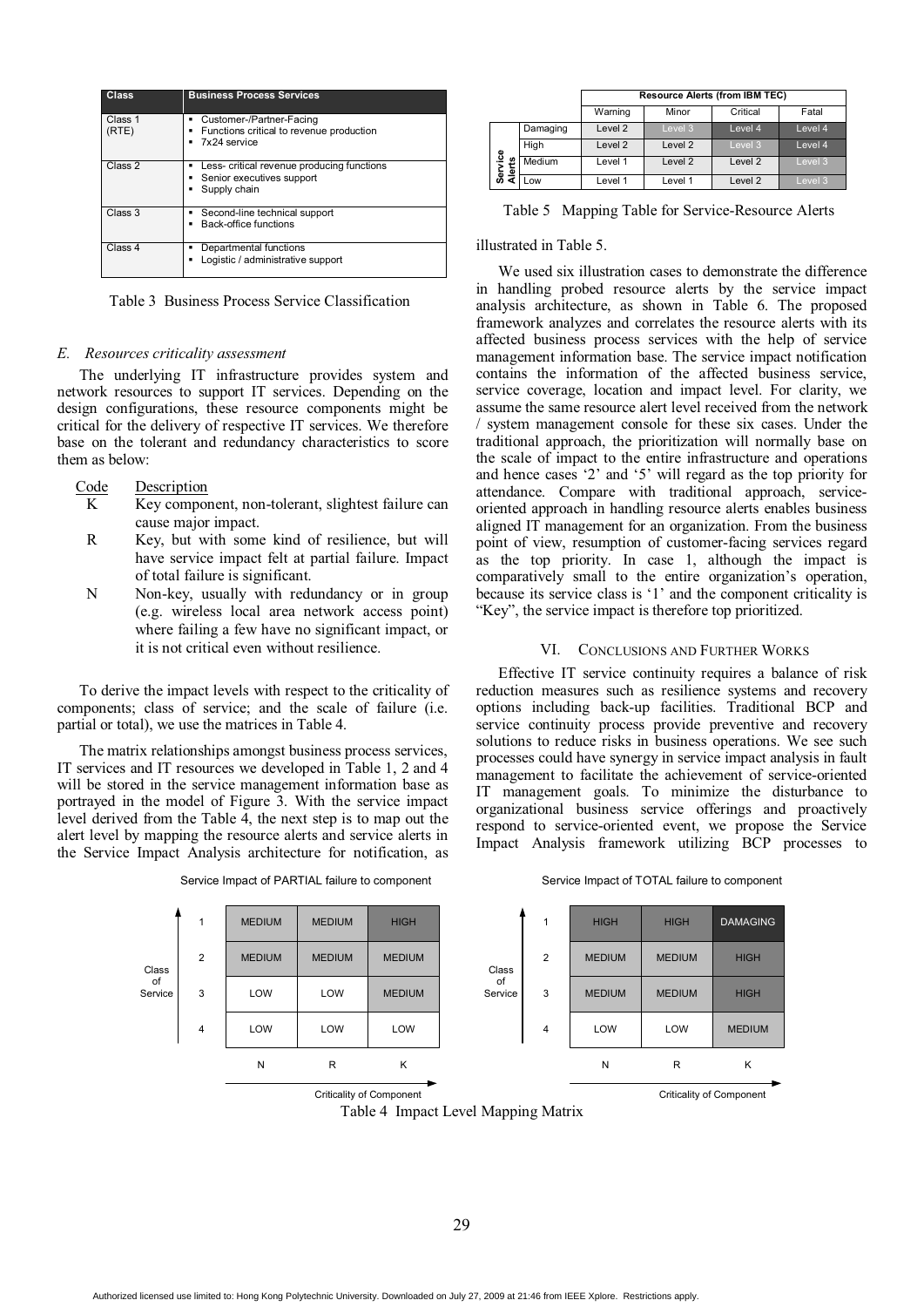| Class            | <b>Business Process Services</b>                                                               |
|------------------|------------------------------------------------------------------------------------------------|
| Class 1<br>(RTE) | Customer-/Partner-Facing<br>٠<br>Functions critical to revenue production<br>٠<br>7x24 service |
| Class 2          | Less- critical revenue producing functions<br>٠<br>Senior executives support<br>Supply chain   |
| Class 3          | Second-line technical support<br>٠<br>Back-office functions                                    |
| Class 4          | Departmental functions<br>٠<br>Logistic / administrative support                               |

Table 3 Business Process Service Classification

# *E. Resources criticality assessment*

The underlying IT infrastructure provides system and network resources to support IT services. Depending on the design configurations, these resource components might be critical for the delivery of respective IT services. We therefore base on the tolerant and redundancy characteristics to score them as below:

# Code Description

- K Key component, non-tolerant, slightest failure can cause major impact.
- R Key, but with some kind of resilience, but will have service impact felt at partial failure. Impact of total failure is significant.
- N Non-key, usually with redundancy or in group (e.g. wireless local area network access point) where failing a few have no significant impact, or it is not critical even without resilience.

To derive the impact levels with respect to the criticality of components; class of service; and the scale of failure (i.e. partial or total), we use the matrices in Table 4.

The matrix relationships amongst business process services, IT services and IT resources we developed in Table 1, 2 and 4 will be stored in the service management information base as portrayed in the model of Figure 3. With the service impact level derived from the Table 4, the next step is to map out the alert level by mapping the resource alerts and service alerts in the Service Impact Analysis architecture for notification, as

|               |                | <b>MEDIUM</b> | <b>MEDIUM</b> | <b>HIGH</b>                     |               | 1              | <b>HIGH</b>   |
|---------------|----------------|---------------|---------------|---------------------------------|---------------|----------------|---------------|
| Class         | $\overline{2}$ | <b>MEDIUM</b> | <b>MEDIUM</b> | <b>MEDIUM</b>                   | Class         | 2              | <b>MEDIUM</b> |
| of<br>Service | 3              | LOW           | LOW           | <b>MEDIUM</b>                   | of<br>Service | 3              | <b>MEDIUM</b> |
|               | $\overline{4}$ | LOW           | LOW           | LOW                             |               | $\overline{4}$ | LOW           |
|               |                | N             | R             | K                               |               |                | N             |
|               |                |               |               | <b>Criticality of Component</b> |               |                |               |

Service Impact of PARTIAL failure to component Service Impact of TOTAL failure to component

|                   |          |         |                    | <b>Resource Alerts (from IBM TEC)</b> |         |
|-------------------|----------|---------|--------------------|---------------------------------------|---------|
|                   |          | Warning | Minor              | Critical                              | Fatal   |
|                   | Damaging | Level 2 | Level 3            | Level 4                               | Level 4 |
|                   | High     | Level 2 | Level 2            | Level 3                               | Level 4 |
| Service<br>Alerts | Medium   | Level 1 | Level <sub>2</sub> | Level <sub>2</sub>                    | Level 3 |
|                   | Low      | Level 1 | Level 1            | Level <sub>2</sub>                    | Level 3 |

Table 5 Mapping Table for Service-Resource Alerts

# illustrated in Table 5.

We used six illustration cases to demonstrate the difference in handling probed resource alerts by the service impact analysis architecture, as shown in Table 6. The proposed framework analyzes and correlates the resource alerts with its affected business process services with the help of service management information base. The service impact notification contains the information of the affected business service, service coverage, location and impact level. For clarity, we assume the same resource alert level received from the network / system management console for these six cases. Under the traditional approach, the prioritization will normally base on the scale of impact to the entire infrastructure and operations and hence cases '2' and '5' will regard as the top priority for attendance. Compare with traditional approach, serviceoriented approach in handling resource alerts enables business aligned IT management for an organization. From the business point of view, resumption of customer-facing services regard as the top priority. In case 1, although the impact is comparatively small to the entire organization's operation, because its service class is '1' and the component criticality is "Key", the service impact is therefore top prioritized.

### VI. CONCLUSIONS AND FURTHER WORKS

Effective IT service continuity requires a balance of risk reduction measures such as resilience systems and recovery options including back-up facilities. Traditional BCP and service continuity process provide preventive and recovery solutions to reduce risks in business operations. We see such processes could have synergy in service impact analysis in fault management to facilitate the achievement of service-oriented IT management goals. To minimize the disturbance to organizational business service offerings and proactively respond to service-oriented event, we propose the Service Impact Analysis framework utilizing BCP processes to

|   | 1              | <b>HIGH</b>   | <b>HIGH</b>   | <b>DAMAGING</b> |
|---|----------------|---------------|---------------|-----------------|
| ŝ | $\overline{2}$ | <b>MEDIUM</b> | <b>MEDIUM</b> | <b>HIGH</b>     |
| æ | 3              | <b>MEDIUM</b> | <b>MEDIUM</b> | <b>HIGH</b>     |
|   | 4              | LOW           | LOW           | <b>MEDIUM</b>   |
|   |                | N             | R             | κ               |

Criticality of Component

29

Table 4 Impact Level Mapping Matrix